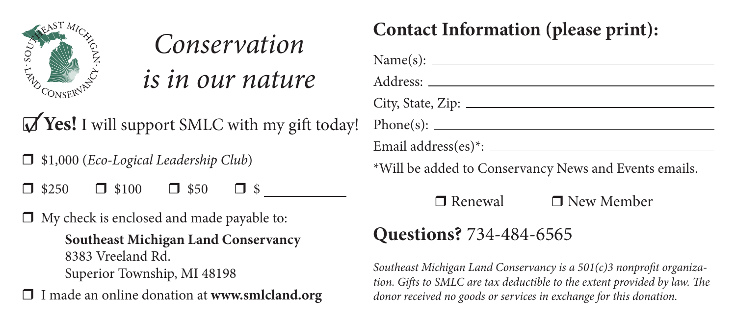

## *Conservation*

*is in our nature*

 $\mathbf{\nabla}$ **Yes!** I will support SMLC with my gift today!

\$1,000 (*Eco-Logical Leadership Club*)

 $$250$  5100 5 \$50 5 \$

 $\Box$  My check is enclosed and made payable to:

**Southeast Michigan Land Conservancy** 8383 Vreeland Rd. Superior Township, MI 48198

I made an online donation at **www.smlcland.org**

## **Contact Information (please print):**

| City, State, Zip:          |
|----------------------------|
|                            |
| Email address(es)*: $\_\_$ |
|                            |

\*Will be added to Conservancy News and Events emails.

 $\Box$  Renewal  $\Box$  New Member

## **Questions?** 734-484-6565

*Southeast Michigan Land Conservancy is a 501(c)3 nonprofit organization. Gifts to SMLC are tax deductible to the extent provided by law. The donor received no goods or services in exchange for this donation.*